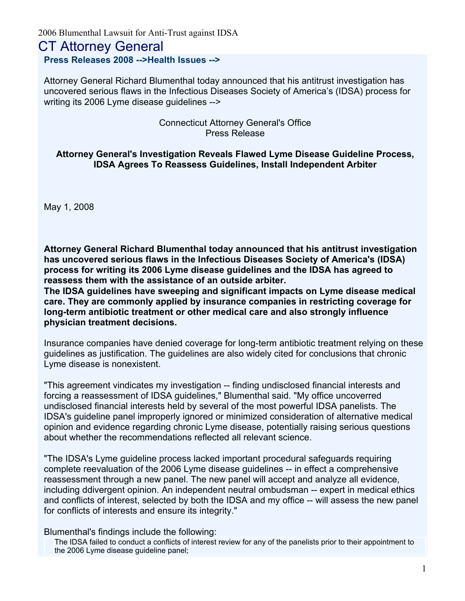2006 Blumenthal Lawsuit for Anti-Trust against IDSA

# CT Attorney General

**Press Releases 2008 -->Health Issues -->**

Attorney General Richard Blumenthal today announced that his antitrust investigation has uncovered serious flaws in the Infectious Diseases Society of America's (IDSA) process for writing its 2006 Lyme disease guidelines -->

#### Connecticut Attorney General's Office Press Release

#### **Attorney General's Investigation Reveals Flawed Lyme Disease Guideline Process, IDSA Agrees To Reassess Guidelines, Install Independent Arbiter**

May 1, 2008

**Attorney General Richard Blumenthal today announced that his antitrust investigation has uncovered serious flaws in the Infectious Diseases Society of America's (IDSA) process for writing its 2006 Lyme disease guidelines and the IDSA has agreed to reassess them with the assistance of an outside arbiter.**

**The IDSA guidelines have sweeping and significant impacts on Lyme disease medical care. They are commonly applied by insurance companies in restricting coverage for long-term antibiotic treatment or other medical care and also strongly influence physician treatment decisions.**

Insurance companies have denied coverage for long-term antibiotic treatment relying on these guidelines as justification. The guidelines are also widely cited for conclusions that chronic Lyme disease is nonexistent.

"This agreement vindicates my investigation -- finding undisclosed financial interests and forcing a reassessment of IDSA guidelines," Blumenthal said. "My office uncoverred undisclosed financial interests held by several of the most powerful IDSA panelists. The IDSA's guideline panel improperly ignored or minimized consideration of alternative medical opinion and evidence regarding chronic Lyme disease, potentially raising serious questions about whether the recommendations reflected all relevant science.

"The IDSA's Lyme guideline process lacked important procedural safeguards requiring complete reevaluation of the 2006 Lyme disease guidelines -- in effect a comprehensive reassessment through a new panel. The new panel will accept and analyze all evidence, including ddivergent opinion. An independent neutral ombudsman -- expert in medical ethics and conflicts of interest, selected by both the IDSA and my office -- will assess the new panel for conflicts of interests and ensure its integrity."

Blumenthal's findings include the following:

The IDSA failed to conduct a conflicts of interest review for any of the panelists prior to their appointment to the 2006 Lyme disease guideline panel;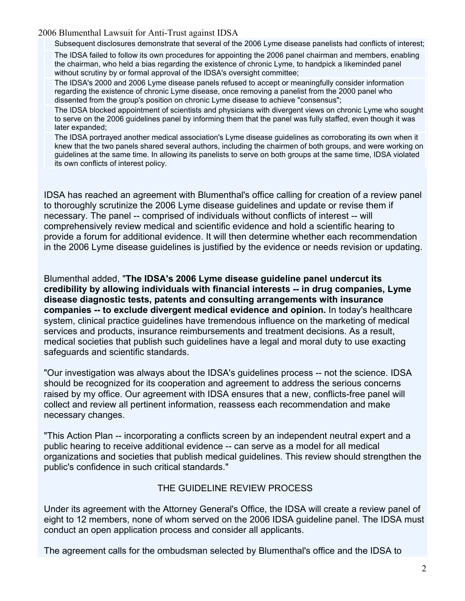2006 Blumenthal Lawsuit for Anti-Trust against IDSA

Subsequent disclosures demonstrate that several of the 2006 Lyme disease panelists had conflicts of interest;

The IDSA failed to follow its own procedures for appointing the 2006 panel chairman and members, enabling the chairman, who held a bias regarding the existence of chronic Lyme, to handpick a likeminded panel without scrutiny by or formal approval of the IDSA's oversight committee;

The IDSA's 2000 and 2006 Lyme disease panels refused to accept or meaningfully consider information regarding the existence of chronic Lyme disease, once removing a panelist from the 2000 panel who dissented from the group's position on chronic Lyme disease to achieve "consensus";

The IDSA blocked appointment of scientists and physicians with divergent views on chronic Lyme who sought to serve on the 2006 guidelines panel by informing them that the panel was fully staffed, even though it was later expanded;

The IDSA portrayed another medical association's Lyme disease guidelines as corroborating its own when it knew that the two panels shared several authors, including the chairmen of both groups, and were working on guidelines at the same time. In allowing its panelists to serve on both groups at the same time, IDSA violated its own conflicts of interest policy.

IDSA has reached an agreement with Blumenthal's office calling for creation of a review panel to thoroughly scrutinize the 2006 Lyme disease guidelines and update or revise them if necessary. The panel -- comprised of individuals without conflicts of interest -- will comprehensively review medical and scientific evidence and hold a scientific hearing to provide a forum for additional evidence. It will then determine whether each recommendation in the 2006 Lyme disease guidelines is justified by the evidence or needs revision or updating.

Blumenthal added, "**The IDSA's 2006 Lyme disease guideline panel undercut its credibility by allowing individuals with financial interests -- in drug companies, Lyme disease diagnostic tests, patents and consulting arrangements with insurance companies -- to exclude divergent medical evidence and opinion.** In today's healthcare system, clinical practice guidelines have tremendous influence on the marketing of medical services and products, insurance reimbursements and treatment decisions. As a result, medical societies that publish such guidelines have a legal and moral duty to use exacting safeguards and scientific standards.

"Our investigation was always about the IDSA's guidelines process -- not the science. IDSA should be recognized for its cooperation and agreement to address the serious concerns raised by my office. Our agreement with IDSA ensures that a new, conflicts-free panel will collect and review all pertinent information, reassess each recommendation and make necessary changes.

"This Action Plan -- incorporating a conflicts screen by an independent neutral expert and a public hearing to receive additional evidence -- can serve as a model for all medical organizations and societies that publish medical guidelines. This review should strengthen the public's confidence in such critical standards."

### THE GUIDELINE REVIEW PROCESS

Under its agreement with the Attorney General's Office, the IDSA will create a review panel of eight to 12 members, none of whom served on the 2006 IDSA guideline panel. The IDSA must conduct an open application process and consider all applicants.

The agreement calls for the ombudsman selected by Blumenthal's office and the IDSA to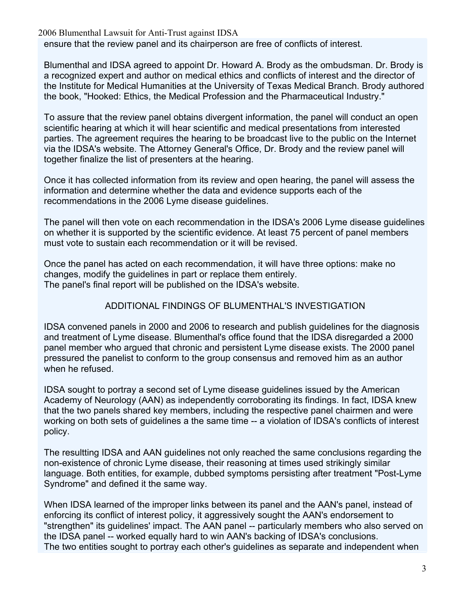2006 Blumenthal Lawsuit for Anti-Trust against IDSA

ensure that the review panel and its chairperson are free of conflicts of interest.

Blumenthal and IDSA agreed to appoint Dr. Howard A. Brody as the ombudsman. Dr. Brody is a recognized expert and author on medical ethics and conflicts of interest and the director of the Institute for Medical Humanities at the University of Texas Medical Branch. Brody authored the book, "Hooked: Ethics, the Medical Profession and the Pharmaceutical Industry."

To assure that the review panel obtains divergent information, the panel will conduct an open scientific hearing at which it will hear scientific and medical presentations from interested parties. The agreement requires the hearing to be broadcast live to the public on the Internet via the IDSA's website. The Attorney General's Office, Dr. Brody and the review panel will together finalize the list of presenters at the hearing.

Once it has collected information from its review and open hearing, the panel will assess the information and determine whether the data and evidence supports each of the recommendations in the 2006 Lyme disease guidelines.

The panel will then vote on each recommendation in the IDSA's 2006 Lyme disease guidelines on whether it is supported by the scientific evidence. At least 75 percent of panel members must vote to sustain each recommendation or it will be revised.

Once the panel has acted on each recommendation, it will have three options: make no changes, modify the guidelines in part or replace them entirely. The panel's final report will be published on the IDSA's website.

## ADDITIONAL FINDINGS OF BLUMENTHAL'S INVESTIGATION

IDSA convened panels in 2000 and 2006 to research and publish guidelines for the diagnosis and treatment of Lyme disease. Blumenthal's office found that the IDSA disregarded a 2000 panel member who argued that chronic and persistent Lyme disease exists. The 2000 panel pressured the panelist to conform to the group consensus and removed him as an author when he refused.

IDSA sought to portray a second set of Lyme disease guidelines issued by the American Academy of Neurology (AAN) as independently corroborating its findings. In fact, IDSA knew that the two panels shared key members, including the respective panel chairmen and were working on both sets of guidelines a the same time -- a violation of IDSA's conflicts of interest policy.

The resultting IDSA and AAN guidelines not only reached the same conclusions regarding the non-existence of chronic Lyme disease, their reasoning at times used strikingly similar language. Both entities, for example, dubbed symptoms persisting after treatment "Post-Lyme Syndrome" and defined it the same way.

When IDSA learned of the improper links between its panel and the AAN's panel, instead of enforcing its conflict of interest policy, it aggressively sought the AAN's endorsement to "strengthen" its guidelines' impact. The AAN panel -- particularly members who also served on the IDSA panel -- worked equally hard to win AAN's backing of IDSA's conclusions. The two entities sought to portray each other's guidelines as separate and independent when